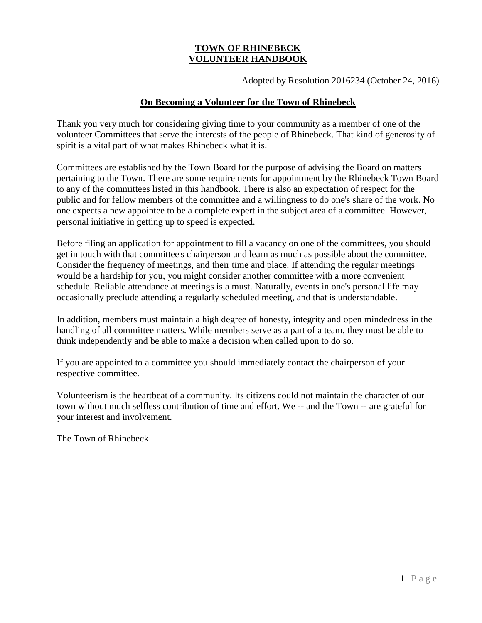# **TOWN OF RHINEBECK VOLUNTEER HANDBOOK**

Adopted by Resolution 2016234 (October 24, 2016)

#### **On Becoming a Volunteer for the Town of Rhinebeck**

Thank you very much for considering giving time to your community as a member of one of the volunteer Committees that serve the interests of the people of Rhinebeck. That kind of generosity of spirit is a vital part of what makes Rhinebeck what it is.

Committees are established by the Town Board for the purpose of advising the Board on matters pertaining to the Town. There are some requirements for appointment by the Rhinebeck Town Board to any of the committees listed in this handbook. There is also an expectation of respect for the public and for fellow members of the committee and a willingness to do one's share of the work. No one expects a new appointee to be a complete expert in the subject area of a committee. However, personal initiative in getting up to speed is expected.

Before filing an application for appointment to fill a vacancy on one of the committees, you should get in touch with that committee's chairperson and learn as much as possible about the committee. Consider the frequency of meetings, and their time and place. If attending the regular meetings would be a hardship for you, you might consider another committee with a more convenient schedule. Reliable attendance at meetings is a must. Naturally, events in one's personal life may occasionally preclude attending a regularly scheduled meeting, and that is understandable.

In addition, members must maintain a high degree of honesty, integrity and open mindedness in the handling of all committee matters. While members serve as a part of a team, they must be able to think independently and be able to make a decision when called upon to do so.

If you are appointed to a committee you should immediately contact the chairperson of your respective committee.

Volunteerism is the heartbeat of a community. Its citizens could not maintain the character of our town without much selfless contribution of time and effort. We -- and the Town -- are grateful for your interest and involvement.

The Town of Rhinebeck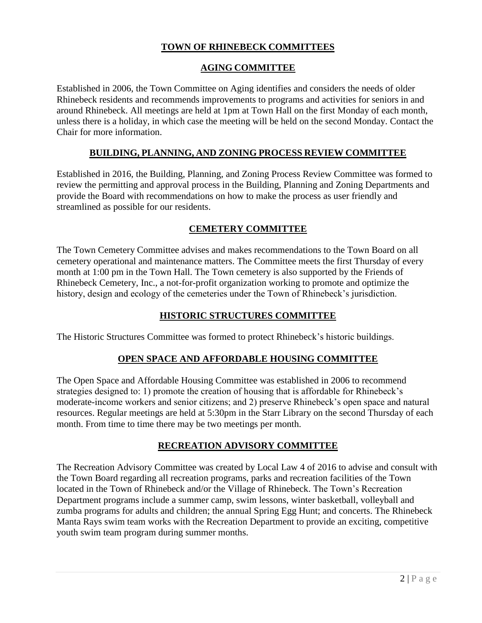# **TOWN OF RHINEBECK COMMITTEES**

#### **AGING COMMITTEE**

Established in 2006, the Town Committee on Aging identifies and considers the needs of older Rhinebeck residents and recommends improvements to programs and activities for seniors in and around Rhinebeck. All meetings are held at 1pm at Town Hall on the first Monday of each month, unless there is a holiday, in which case the meeting will be held on the second Monday. Contact the Chair for more information.

#### **BUILDING, PLANNING, AND ZONING PROCESS REVIEW COMMITTEE**

Established in 2016, the Building, Planning, and Zoning Process Review Committee was formed to review the permitting and approval process in the Building, Planning and Zoning Departments and provide the Board with recommendations on how to make the process as user friendly and streamlined as possible for our residents.

#### **CEMETERY COMMITTEE**

The Town Cemetery Committee advises and makes recommendations to the Town Board on all cemetery operational and maintenance matters. The Committee meets the first Thursday of every month at 1:00 pm in the Town Hall. The Town cemetery is also supported by the Friends of Rhinebeck Cemetery, Inc., a not-for-profit organization working to promote and optimize the history, design and ecology of the cemeteries under the Town of Rhinebeck's jurisdiction.

### **HISTORIC STRUCTURES COMMITTEE**

The Historic Structures Committee was formed to protect Rhinebeck's historic buildings.

#### **OPEN SPACE AND AFFORDABLE HOUSING COMMITTEE**

The Open Space and Affordable Housing Committee was established in 2006 to recommend strategies designed to: 1) promote the creation of housing that is affordable for Rhinebeck's moderate-income workers and senior citizens; and 2) preserve Rhinebeck's open space and natural resources. Regular meetings are held at 5:30pm in the Starr Library on the second Thursday of each month. From time to time there may be two meetings per month.

### **RECREATION ADVISORY COMMITTEE**

The Recreation Advisory Committee was created by Local Law 4 of 2016 to advise and consult with the Town Board regarding all recreation programs, parks and recreation facilities of the Town located in the Town of Rhinebeck and/or the Village of Rhinebeck. The Town's Recreation Department programs include a summer camp, swim lessons, winter basketball, volleyball and zumba programs for adults and children; the annual Spring Egg Hunt; and concerts. The Rhinebeck Manta Rays swim team works with the Recreation Department to provide an exciting, competitive youth swim team program during summer months.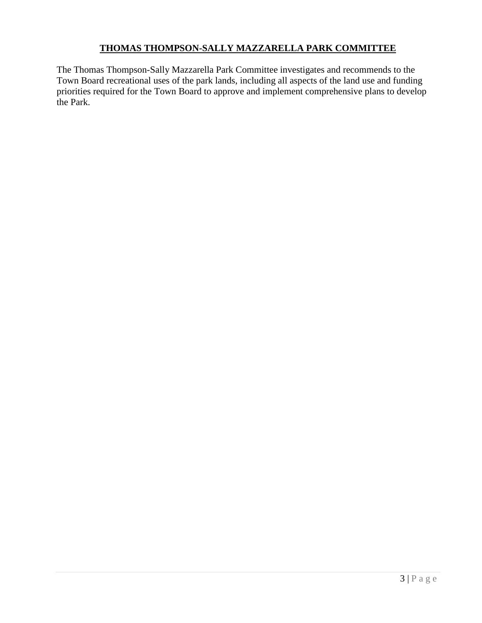# **THOMAS THOMPSON-SALLY MAZZARELLA PARK COMMITTEE**

The Thomas Thompson-Sally Mazzarella Park Committee investigates and recommends to the Town Board recreational uses of the park lands, including all aspects of the land use and funding priorities required for the Town Board to approve and implement comprehensive plans to develop the Park.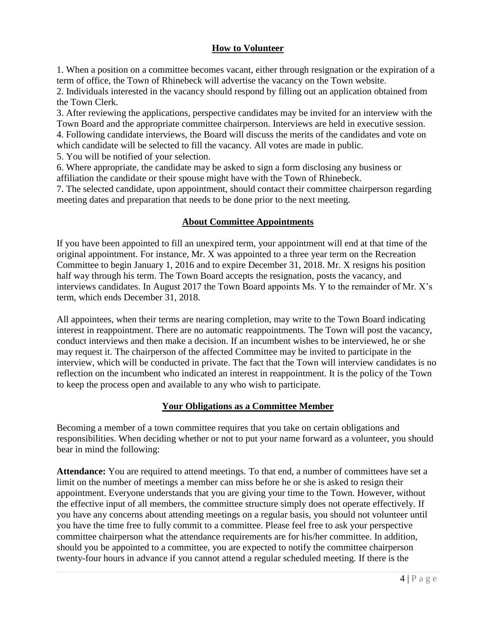# **How to Volunteer**

1. When a position on a committee becomes vacant, either through resignation or the expiration of a term of office, the Town of Rhinebeck will advertise the vacancy on the Town website.

2. Individuals interested in the vacancy should respond by filling out an application obtained from the Town Clerk.

3. After reviewing the applications, perspective candidates may be invited for an interview with the Town Board and the appropriate committee chairperson. Interviews are held in executive session.

4. Following candidate interviews, the Board will discuss the merits of the candidates and vote on which candidate will be selected to fill the vacancy. All votes are made in public.

5. You will be notified of your selection.

6. Where appropriate, the candidate may be asked to sign a form disclosing any business or affiliation the candidate or their spouse might have with the Town of Rhinebeck.

7. The selected candidate, upon appointment, should contact their committee chairperson regarding meeting dates and preparation that needs to be done prior to the next meeting.

### **About Committee Appointments**

If you have been appointed to fill an unexpired term, your appointment will end at that time of the original appointment. For instance, Mr. X was appointed to a three year term on the Recreation Committee to begin January 1, 2016 and to expire December 31, 2018. Mr. X resigns his position half way through his term. The Town Board accepts the resignation, posts the vacancy, and interviews candidates. In August 2017 the Town Board appoints Ms. Y to the remainder of Mr. X's term, which ends December 31, 2018.

All appointees, when their terms are nearing completion, may write to the Town Board indicating interest in reappointment. There are no automatic reappointments. The Town will post the vacancy, conduct interviews and then make a decision. If an incumbent wishes to be interviewed, he or she may request it. The chairperson of the affected Committee may be invited to participate in the interview, which will be conducted in private. The fact that the Town will interview candidates is no reflection on the incumbent who indicated an interest in reappointment. It is the policy of the Town to keep the process open and available to any who wish to participate.

### **Your Obligations as a Committee Member**

Becoming a member of a town committee requires that you take on certain obligations and responsibilities. When deciding whether or not to put your name forward as a volunteer, you should bear in mind the following:

Attendance: You are required to attend meetings. To that end, a number of committees have set a limit on the number of meetings a member can miss before he or she is asked to resign their appointment. Everyone understands that you are giving your time to the Town. However, without the effective input of all members, the committee structure simply does not operate effectively. If you have any concerns about attending meetings on a regular basis, you should not volunteer until you have the time free to fully commit to a committee. Please feel free to ask your perspective committee chairperson what the attendance requirements are for his/her committee. In addition, should you be appointed to a committee, you are expected to notify the committee chairperson twenty-four hours in advance if you cannot attend a regular scheduled meeting. If there is the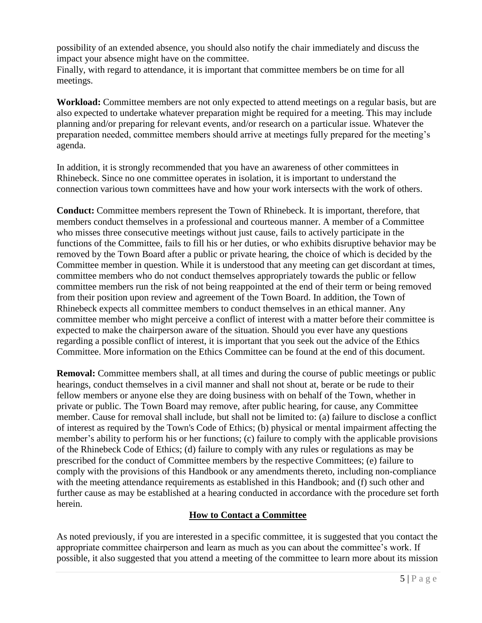possibility of an extended absence, you should also notify the chair immediately and discuss the impact your absence might have on the committee.

Finally, with regard to attendance, it is important that committee members be on time for all meetings.

**Workload:** Committee members are not only expected to attend meetings on a regular basis, but are also expected to undertake whatever preparation might be required for a meeting. This may include planning and/or preparing for relevant events, and/or research on a particular issue. Whatever the preparation needed, committee members should arrive at meetings fully prepared for the meeting's agenda.

In addition, it is strongly recommended that you have an awareness of other committees in Rhinebeck. Since no one committee operates in isolation, it is important to understand the connection various town committees have and how your work intersects with the work of others.

**Conduct:** Committee members represent the Town of Rhinebeck. It is important, therefore, that members conduct themselves in a professional and courteous manner. A member of a Committee who misses three consecutive meetings without just cause, fails to actively participate in the functions of the Committee, fails to fill his or her duties, or who exhibits disruptive behavior may be removed by the Town Board after a public or private hearing, the choice of which is decided by the Committee member in question. While it is understood that any meeting can get discordant at times, committee members who do not conduct themselves appropriately towards the public or fellow committee members run the risk of not being reappointed at the end of their term or being removed from their position upon review and agreement of the Town Board. In addition, the Town of Rhinebeck expects all committee members to conduct themselves in an ethical manner. Any committee member who might perceive a conflict of interest with a matter before their committee is expected to make the chairperson aware of the situation. Should you ever have any questions regarding a possible conflict of interest, it is important that you seek out the advice of the Ethics Committee. More information on the Ethics Committee can be found at the end of this document.

**Removal:** Committee members shall, at all times and during the course of public meetings or public hearings, conduct themselves in a civil manner and shall not shout at, berate or be rude to their fellow members or anyone else they are doing business with on behalf of the Town, whether in private or public. The Town Board may remove, after public hearing, for cause, any Committee member. Cause for removal shall include, but shall not be limited to: (a) failure to disclose a conflict of interest as required by the Town's Code of Ethics; (b) physical or mental impairment affecting the member's ability to perform his or her functions; (c) failure to comply with the applicable provisions of the Rhinebeck Code of Ethics; (d) failure to comply with any rules or regulations as may be prescribed for the conduct of Committee members by the respective Committees; (e) failure to comply with the provisions of this Handbook or any amendments thereto, including non-compliance with the meeting attendance requirements as established in this Handbook; and (f) such other and further cause as may be established at a hearing conducted in accordance with the procedure set forth herein.

### **How to Contact a Committee**

As noted previously, if you are interested in a specific committee, it is suggested that you contact the appropriate committee chairperson and learn as much as you can about the committee's work. If possible, it also suggested that you attend a meeting of the committee to learn more about its mission